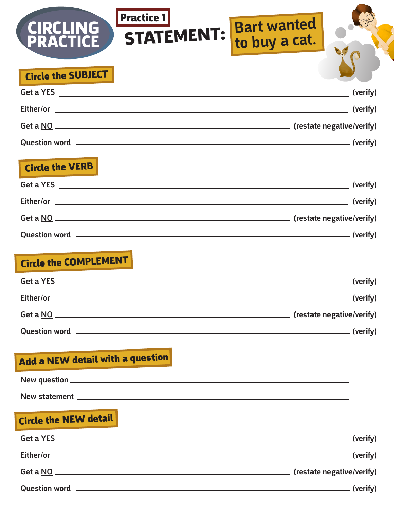| <b>Practice 1</b><br><b>STATEMENT:</b><br>PRACTICE                                                                                                                                                                                   | <b>Bart wanted</b><br>to buy a cat. |          |
|--------------------------------------------------------------------------------------------------------------------------------------------------------------------------------------------------------------------------------------|-------------------------------------|----------|
| <b>Circle the SUBJECT</b>                                                                                                                                                                                                            |                                     |          |
| Get a YES All the second contract of the second contract of the second contract of the second contract of the second contract of the second contract of the second contract of the second contract of the second contract of t       | (verify)                            |          |
|                                                                                                                                                                                                                                      |                                     |          |
|                                                                                                                                                                                                                                      |                                     |          |
|                                                                                                                                                                                                                                      |                                     |          |
| <b>Circle the VERB</b>                                                                                                                                                                                                               |                                     |          |
|                                                                                                                                                                                                                                      |                                     |          |
|                                                                                                                                                                                                                                      |                                     |          |
|                                                                                                                                                                                                                                      |                                     |          |
|                                                                                                                                                                                                                                      |                                     |          |
| <b>Circle the COMPLEMENT</b>                                                                                                                                                                                                         |                                     |          |
| Get a YES <b>Show that the Second Second Second Second Second Second Second Second Second Second Second Second Second Second Second Second Second Second Second Second Second Second Second Second Second Second Second Second S</b> |                                     | (verify) |
|                                                                                                                                                                                                                                      |                                     |          |
|                                                                                                                                                                                                                                      |                                     |          |
|                                                                                                                                                                                                                                      |                                     |          |
|                                                                                                                                                                                                                                      |                                     |          |
|                                                                                                                                                                                                                                      |                                     |          |
| Add a NEW detail with a question                                                                                                                                                                                                     |                                     |          |
|                                                                                                                                                                                                                                      |                                     |          |
| New statement <u>example and the statement</u> and the statement of the statement of the statement of the statement of                                                                                                               |                                     |          |
| <b>Circle the NEW detail</b>                                                                                                                                                                                                         |                                     |          |
|                                                                                                                                                                                                                                      |                                     |          |
|                                                                                                                                                                                                                                      |                                     |          |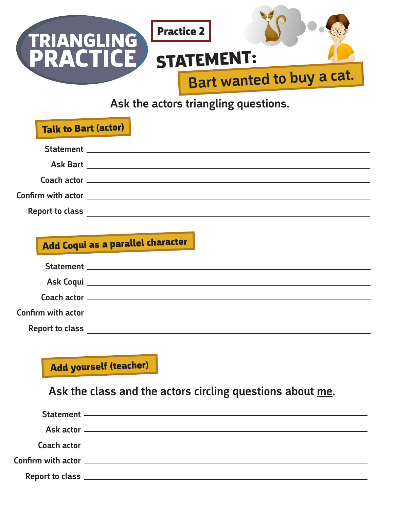

Ask the actors triangling questions.

| <b>Talk to Bart (actor)</b> |                                                                                                                      |  |
|-----------------------------|----------------------------------------------------------------------------------------------------------------------|--|
|                             |                                                                                                                      |  |
|                             |                                                                                                                      |  |
|                             |                                                                                                                      |  |
| Confirm with actor          | <u> 1980 - Jan Barbara Barbara, prima popular popular popular popular popular popular popular popular popular po</u> |  |
| <b>Report to class</b>      |                                                                                                                      |  |

# Add Coqui as a parallel character

| <b>Confirm with actor</b> |  |
|---------------------------|--|
| <b>Report to class</b>    |  |

Add yourself (teacher)

Ask the class and the actors circling questions about me.

| Statement —————————————————————————————— |
|------------------------------------------|
|                                          |
|                                          |
| Coach actor —————————————————————————    |
|                                          |
|                                          |
|                                          |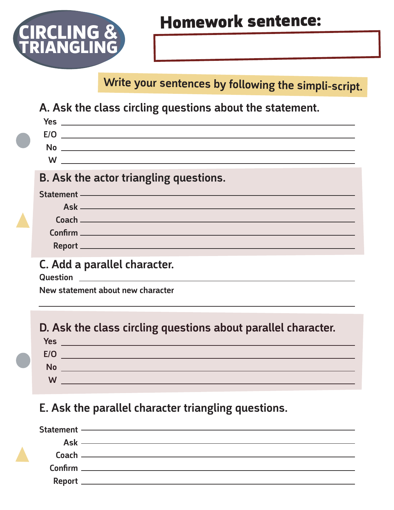

Write your sentences by following the simpli-script.

A. Ask the class circling questions about the statement.

| No <u>experience</u> and the second contract of the second contract of the second contract of the second contract of the second contract of the second contract of the second contract of the second contract of the second contrac                                                                                                                                     |
|-------------------------------------------------------------------------------------------------------------------------------------------------------------------------------------------------------------------------------------------------------------------------------------------------------------------------------------------------------------------------|
| $\begin{picture}(180,10) \put(0,0){\dashbox{0.5}(10,0){ }} \put(10,0){\dashbox{0.5}(10,0){ }} \put(10,0){\dashbox{0.5}(10,0){ }} \put(10,0){\dashbox{0.5}(10,0){ }} \put(10,0){\dashbox{0.5}(10,0){ }} \put(10,0){\dashbox{0.5}(10,0){ }} \put(10,0){\dashbox{0.5}(10,0){ }} \put(10,0){\dashbox{0.5}(10,0){ }} \put(10,0){\dashbox{0.5}(10,0){ }} \put(10,0){\dashbox$ |
| <b>B. Ask the actor triangling questions.</b>                                                                                                                                                                                                                                                                                                                           |
| Statement — <u>Contract Communication</u>                                                                                                                                                                                                                                                                                                                               |
|                                                                                                                                                                                                                                                                                                                                                                         |
|                                                                                                                                                                                                                                                                                                                                                                         |
|                                                                                                                                                                                                                                                                                                                                                                         |
|                                                                                                                                                                                                                                                                                                                                                                         |
| C. Add a parallel character.<br>Question <b>Constanting Constanting Constanting Constanting Constanting Constanting Constanting Constanting Constanting Constanting Constanting Constanting Constanting Constanting Constanting Constanting Constanting Constant</b>                                                                                                    |

New statement about new character

D. Ask the class circling questions about parallel character.

| <b>Yes</b> |  |
|------------|--|
| E/O        |  |
| <b>No</b>  |  |
| W          |  |
|            |  |

## E. Ask the parallel character triangling questions.